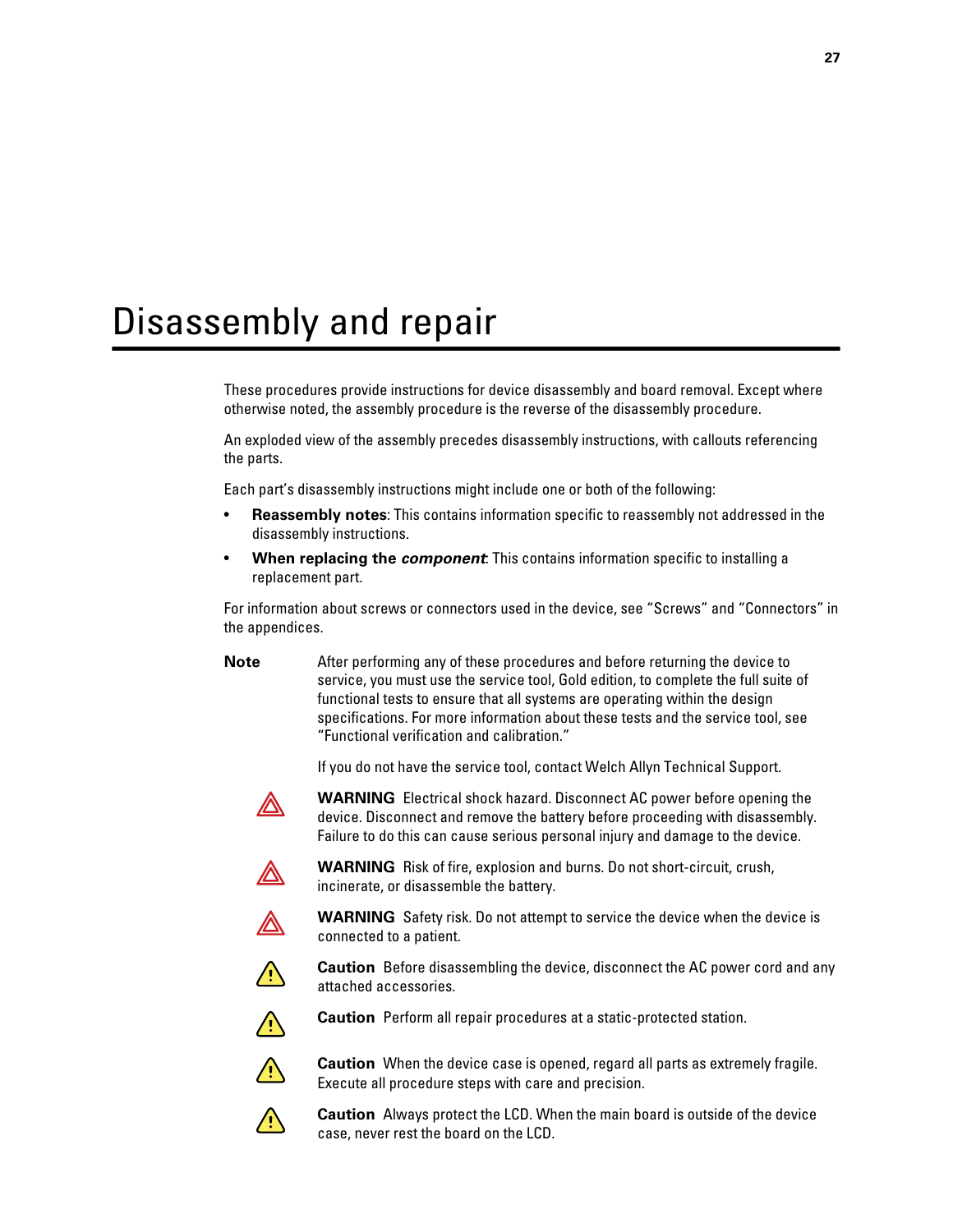# Disassembly and repair

These procedures provide instructions for device disassembly and board removal. Except where otherwise noted, the assembly procedure is the reverse of the disassembly procedure.

An exploded view of the assembly precedes disassembly instructions, with callouts referencing the parts.

Each part's disassembly instructions might include one or both of the following:

- **Reassembly notes**: This contains information specific to reassembly not addressed in the disassembly instructions.
- **When replacing the** *component*: This contains information specific to installing a replacement part.

For information about screws or connectors used in the device, see "Screws" and "Connectors" in the appendices.

**Note** After performing any of these procedures and before returning the device to service, you must use the service tool, Gold edition, to complete the full suite of functional tests to ensure that all systems are operating within the design specifications. For more information about these tests and the service tool, see "Functional verification and calibration."

If you do not have the service tool, contact Welch Allyn Technical Support.



**WARNING** Electrical shock hazard. Disconnect AC power before opening the device. Disconnect and remove the battery before proceeding with disassembly. Failure to do this can cause serious personal injury and damage to the device.



**WARNING** Risk of fire, explosion and burns. Do not short-circuit, crush, incinerate, or disassemble the battery.



 $\triangle$ 

**WARNING** Safety risk. Do not attempt to service the device when the device is connected to a patient.

**Caution** Before disassembling the device, disconnect the AC power cord and any attached accessories.



**Caution** Perform all repair procedures at a static-protected station.

Execute all procedure steps with care and precision.



**Caution** When the device case is opened, regard all parts as extremely fragile.



**Caution** Always protect the LCD. When the main board is outside of the device case, never rest the board on the LCD.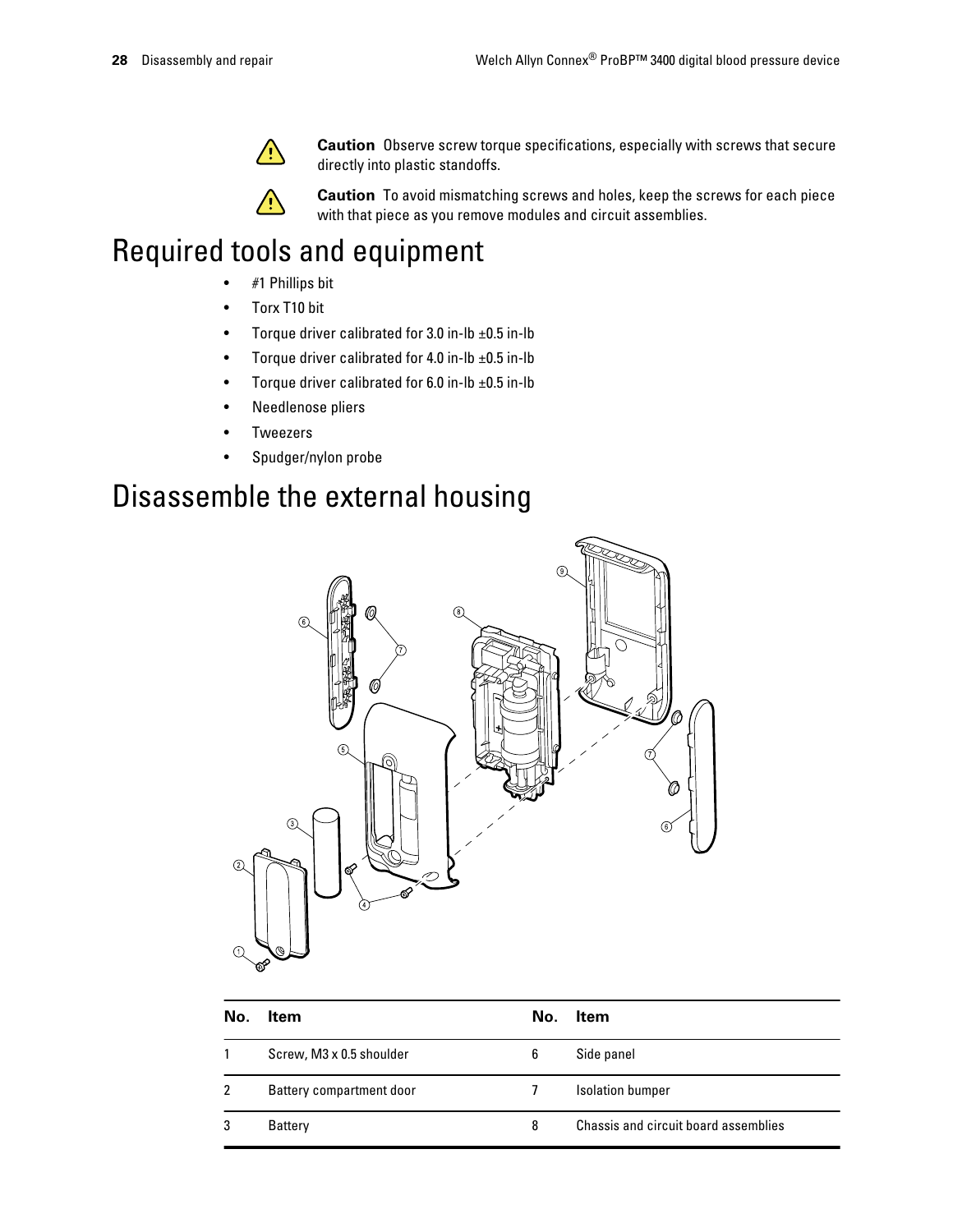

**Caution** Observe screw torque specifications, especially with screws that secure directly into plastic standoffs.



**Caution** To avoid mismatching screws and holes, keep the screws for each piece with that piece as you remove modules and circuit assemblies.

# Required tools and equipment

- #1 Phillips bit
- Torx T10 bit
- Torque driver calibrated for 3.0 in-lb  $\pm 0.5$  in-lb
- Torque driver calibrated for 4.0 in-lb  $\pm 0.5$  in-lb
- Torque driver calibrated for 6.0 in-lb  $\pm 0.5$  in-lb
- Needlenose pliers
- **Tweezers**
- Spudger/nylon probe

# Disassemble the external housing



| No.          | <b>Item</b>              | No. | ltem                                 |
|--------------|--------------------------|-----|--------------------------------------|
|              | Screw, M3 x 0.5 shoulder | 6   | Side panel                           |
| $\mathbf{2}$ | Battery compartment door |     | <b>Isolation bumper</b>              |
| 3            | <b>Battery</b>           | 8   | Chassis and circuit board assemblies |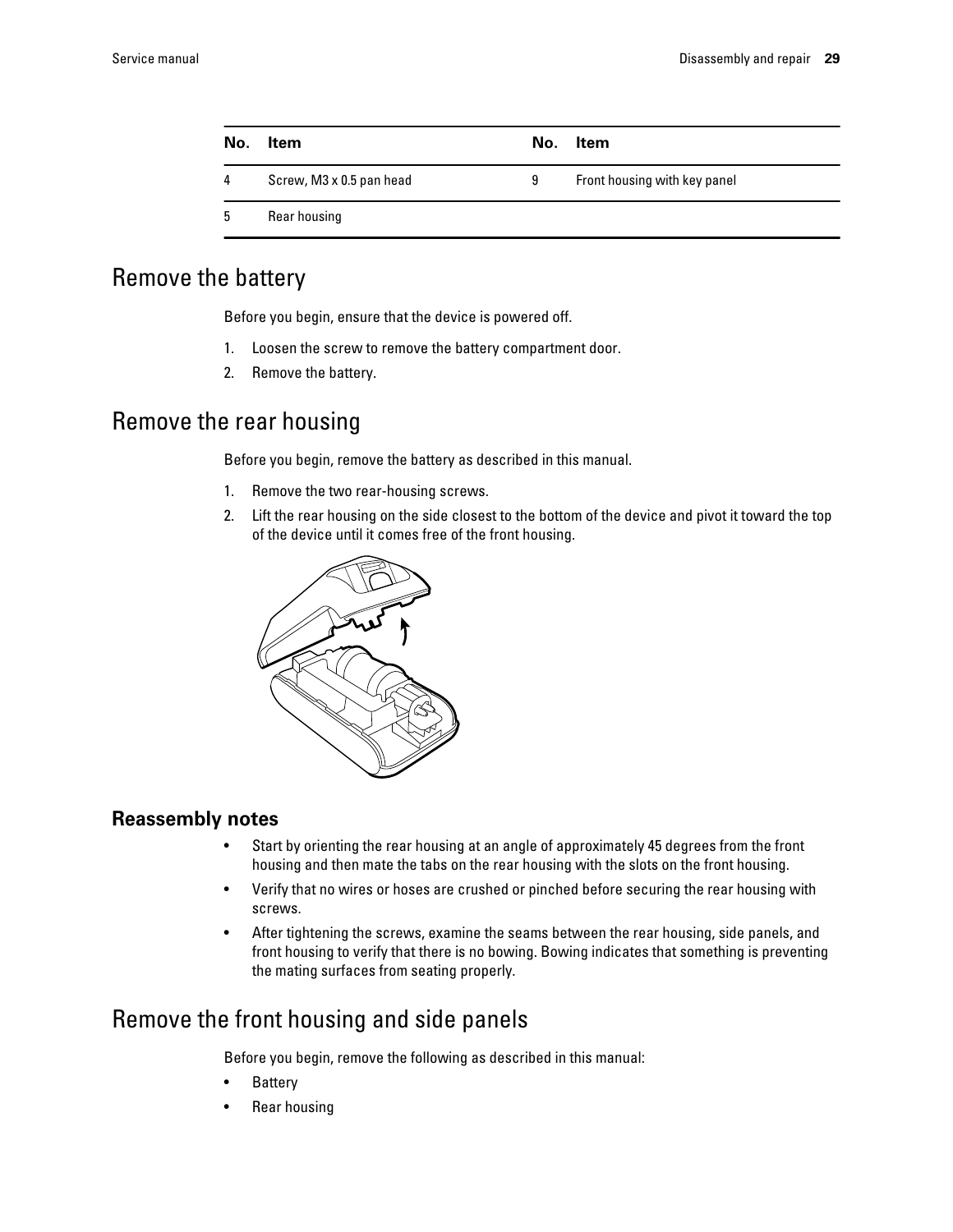| No. | Item                     | No. | Item                         |
|-----|--------------------------|-----|------------------------------|
| 4   | Screw, M3 x 0.5 pan head | 9   | Front housing with key panel |
| 5   | Rear housing             |     |                              |

### Remove the battery

Before you begin, ensure that the device is powered off.

- 1. Loosen the screw to remove the battery compartment door.
- 2. Remove the battery.

### Remove the rear housing

Before you begin, remove the battery as described in this manual.

- 1. Remove the two rear-housing screws.
- 2. Lift the rear housing on the side closest to the bottom of the device and pivot it toward the top of the device until it comes free of the front housing.



### **Reassembly notes**

- Start by orienting the rear housing at an angle of approximately 45 degrees from the front housing and then mate the tabs on the rear housing with the slots on the front housing.
- Verify that no wires or hoses are crushed or pinched before securing the rear housing with screws.
- After tightening the screws, examine the seams between the rear housing, side panels, and front housing to verify that there is no bowing. Bowing indicates that something is preventing the mating surfaces from seating properly.

## Remove the front housing and side panels

Before you begin, remove the following as described in this manual:

- **Battery**
- Rear housing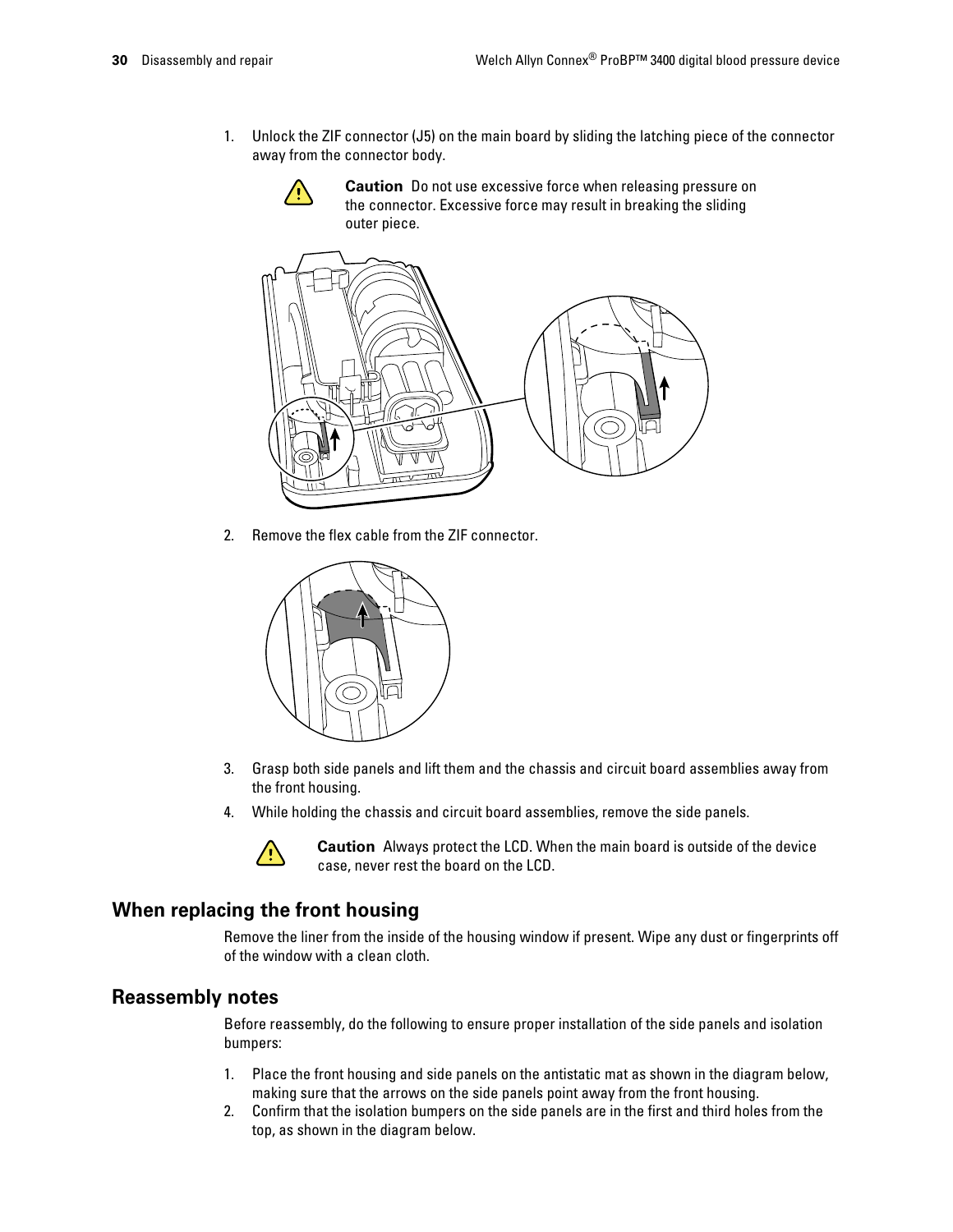1. Unlock the ZIF connector (J5) on the main board by sliding the latching piece of the connector away from the connector body.



**Caution** Do not use excessive force when releasing pressure on the connector. Excessive force may result in breaking the sliding outer piece.



2. Remove the flex cable from the ZIF connector.



- 3. Grasp both side panels and lift them and the chassis and circuit board assemblies away from the front housing.
- 4. While holding the chassis and circuit board assemblies, remove the side panels.



**Caution** Always protect the LCD. When the main board is outside of the device case, never rest the board on the LCD.

### **When replacing the front housing**

Remove the liner from the inside of the housing window if present. Wipe any dust or fingerprints off of the window with a clean cloth.

### **Reassembly notes**

Before reassembly, do the following to ensure proper installation of the side panels and isolation bumpers:

- 1. Place the front housing and side panels on the antistatic mat as shown in the diagram below, making sure that the arrows on the side panels point away from the front housing.
- 2. Confirm that the isolation bumpers on the side panels are in the first and third holes from the top, as shown in the diagram below.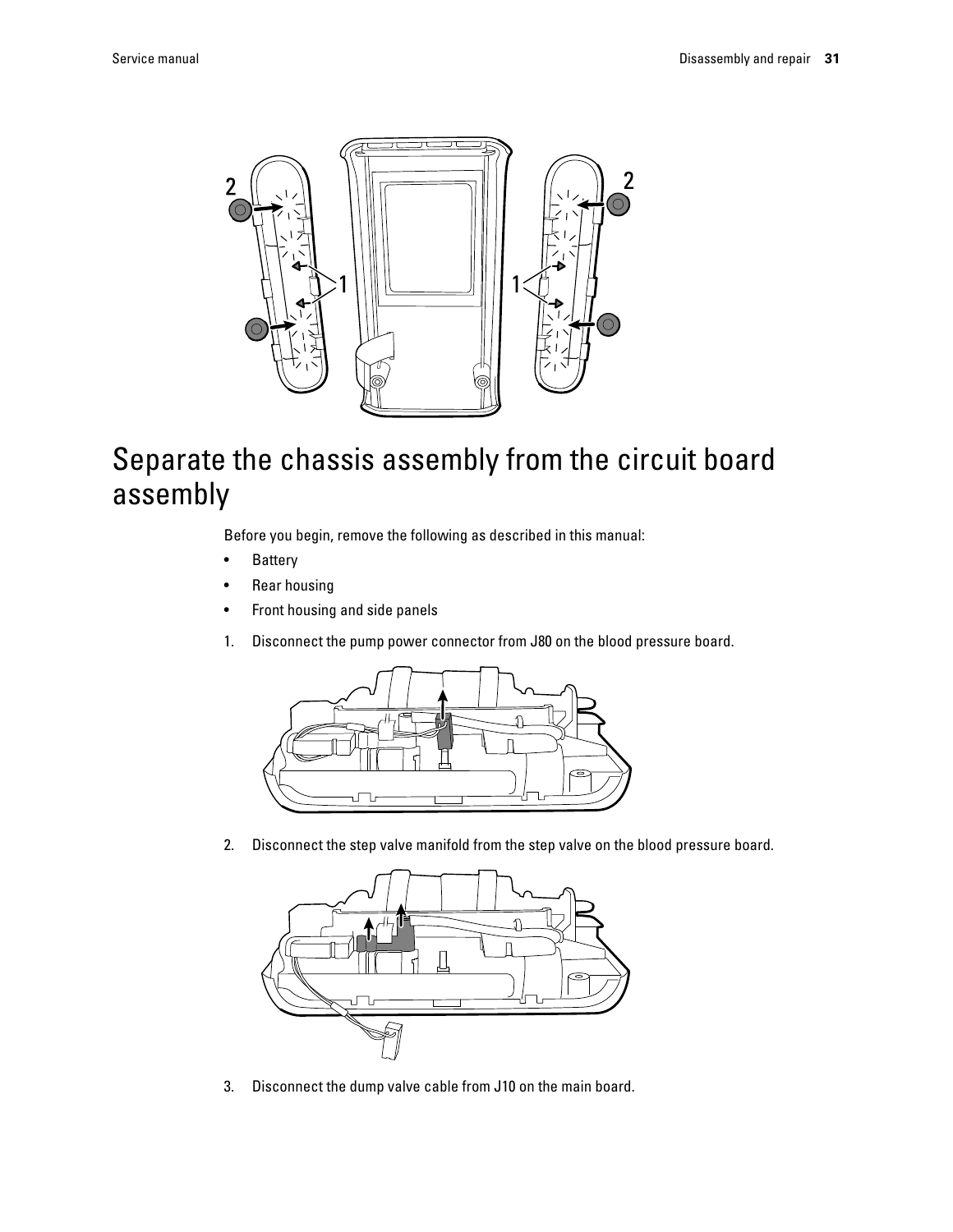

# Separate the chassis assembly from the circuit board assembly

Before you begin, remove the following as described in this manual:

- Battery
- Rear housing
- Front housing and side panels
- 1. Disconnect the pump power connector from J80 on the blood pressure board.



2. Disconnect the step valve manifold from the step valve on the blood pressure board.



3. Disconnect the dump valve cable from J10 on the main board.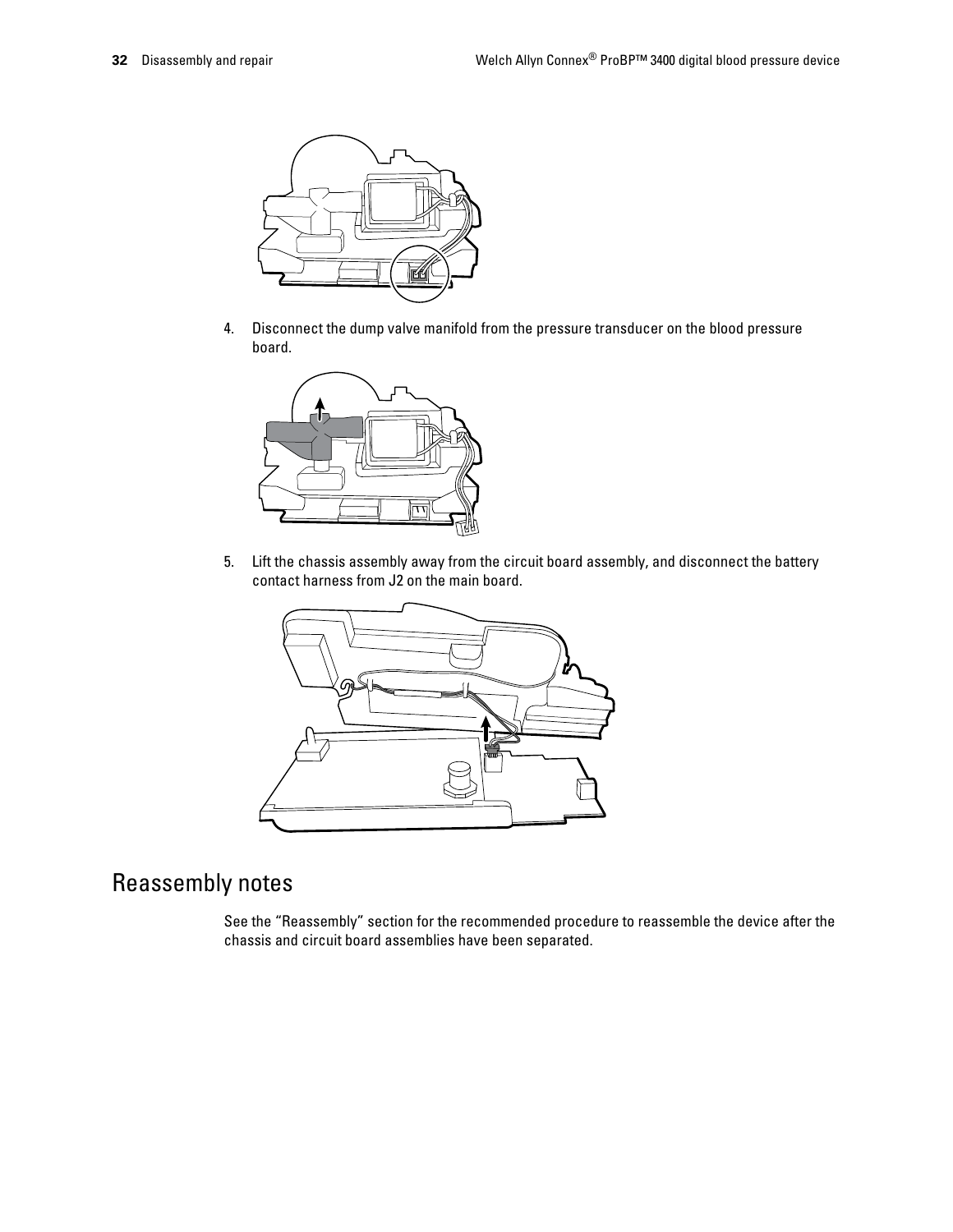

4. Disconnect the dump valve manifold from the pressure transducer on the blood pressure board.



5. Lift the chassis assembly away from the circuit board assembly, and disconnect the battery contact harness from J2 on the main board.



## Reassembly notes

See the "Reassembly" section for the recommended procedure to reassemble the device after the chassis and circuit board assemblies have been separated.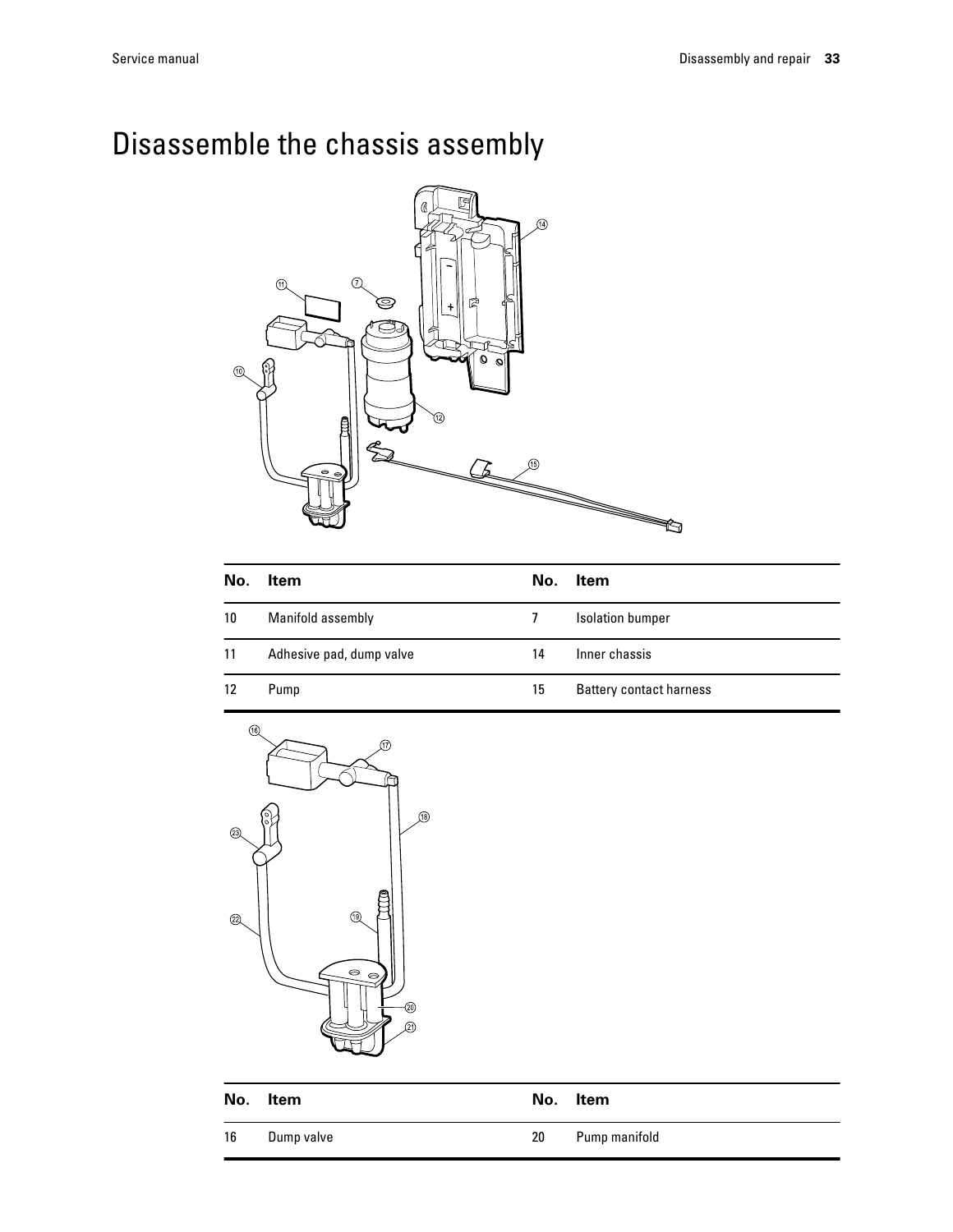# Disassemble the chassis assembly



| No. | Item                     | No. | <b>Item</b>                    |
|-----|--------------------------|-----|--------------------------------|
| 10  | Manifold assembly        |     | <b>Isolation bumper</b>        |
| 11  | Adhesive pad, dump valve | 14  | Inner chassis                  |
| 12  | Pump                     | 15  | <b>Battery contact harness</b> |



|    | No. Item   | No. | ltem          |
|----|------------|-----|---------------|
| 16 | Dump valve | 20  | Pump manifold |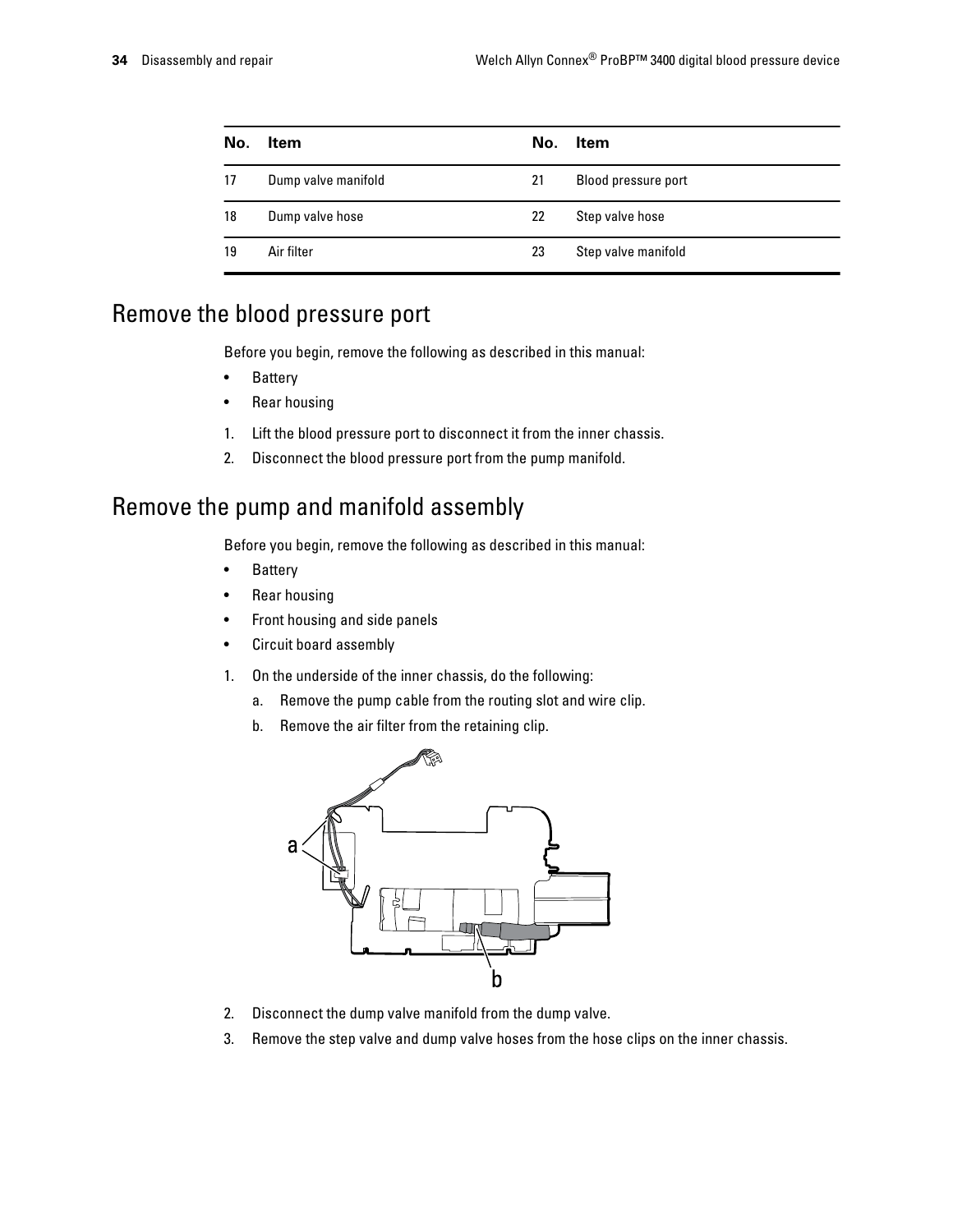| No. | <b>Item</b>         | No. | <b>Item</b>         |
|-----|---------------------|-----|---------------------|
| 17  | Dump valve manifold | 21  | Blood pressure port |
| 18  | Dump valve hose     | 22  | Step valve hose     |
| 19  | Air filter          | 23  | Step valve manifold |

## Remove the blood pressure port

Before you begin, remove the following as described in this manual:

- Battery
- Rear housing
- 1. Lift the blood pressure port to disconnect it from the inner chassis.
- 2. Disconnect the blood pressure port from the pump manifold.

# Remove the pump and manifold assembly

Before you begin, remove the following as described in this manual:

- Battery
- Rear housing
- Front housing and side panels
- Circuit board assembly
- 1. On the underside of the inner chassis, do the following:
	- a. Remove the pump cable from the routing slot and wire clip.
	- b. Remove the air filter from the retaining clip.



- 2. Disconnect the dump valve manifold from the dump valve.
- 3. Remove the step valve and dump valve hoses from the hose clips on the inner chassis.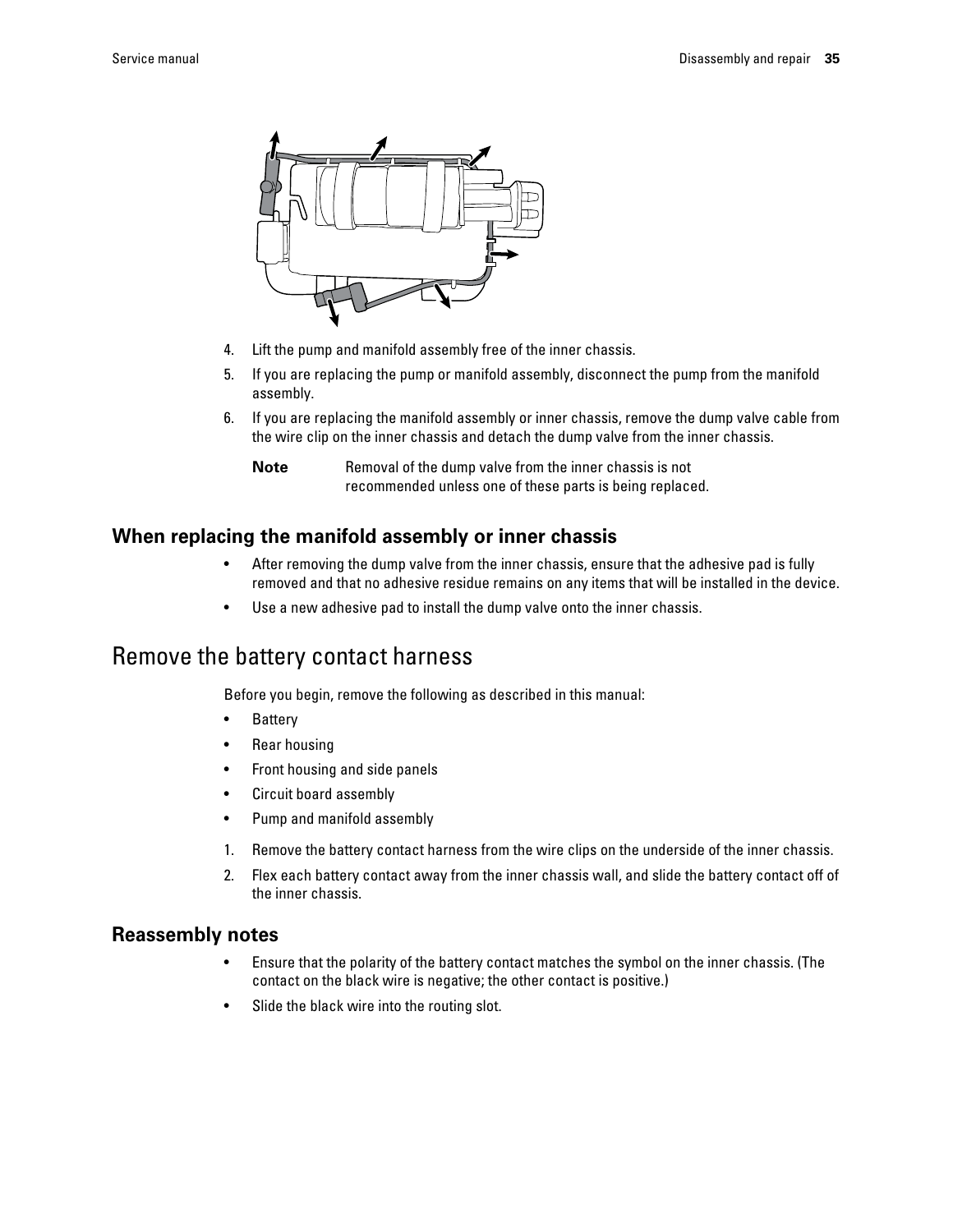

- 4. Lift the pump and manifold assembly free of the inner chassis.
- 5. If you are replacing the pump or manifold assembly, disconnect the pump from the manifold assembly.
- 6. If you are replacing the manifold assembly or inner chassis, remove the dump valve cable from the wire clip on the inner chassis and detach the dump valve from the inner chassis.

**Note** Removal of the dump valve from the inner chassis is not recommended unless one of these parts is being replaced.

#### **When replacing the manifold assembly or inner chassis**

- After removing the dump valve from the inner chassis, ensure that the adhesive pad is fully removed and that no adhesive residue remains on any items that will be installed in the device.
- Use a new adhesive pad to install the dump valve onto the inner chassis.

### Remove the battery contact harness

Before you begin, remove the following as described in this manual:

- **Battery**
- Rear housing
- Front housing and side panels
- Circuit board assembly
- Pump and manifold assembly
- 1. Remove the battery contact harness from the wire clips on the underside of the inner chassis.
- 2. Flex each battery contact away from the inner chassis wall, and slide the battery contact off of the inner chassis.

#### **Reassembly notes**

- Ensure that the polarity of the battery contact matches the symbol on the inner chassis. (The contact on the black wire is negative; the other contact is positive.)
- Slide the black wire into the routing slot.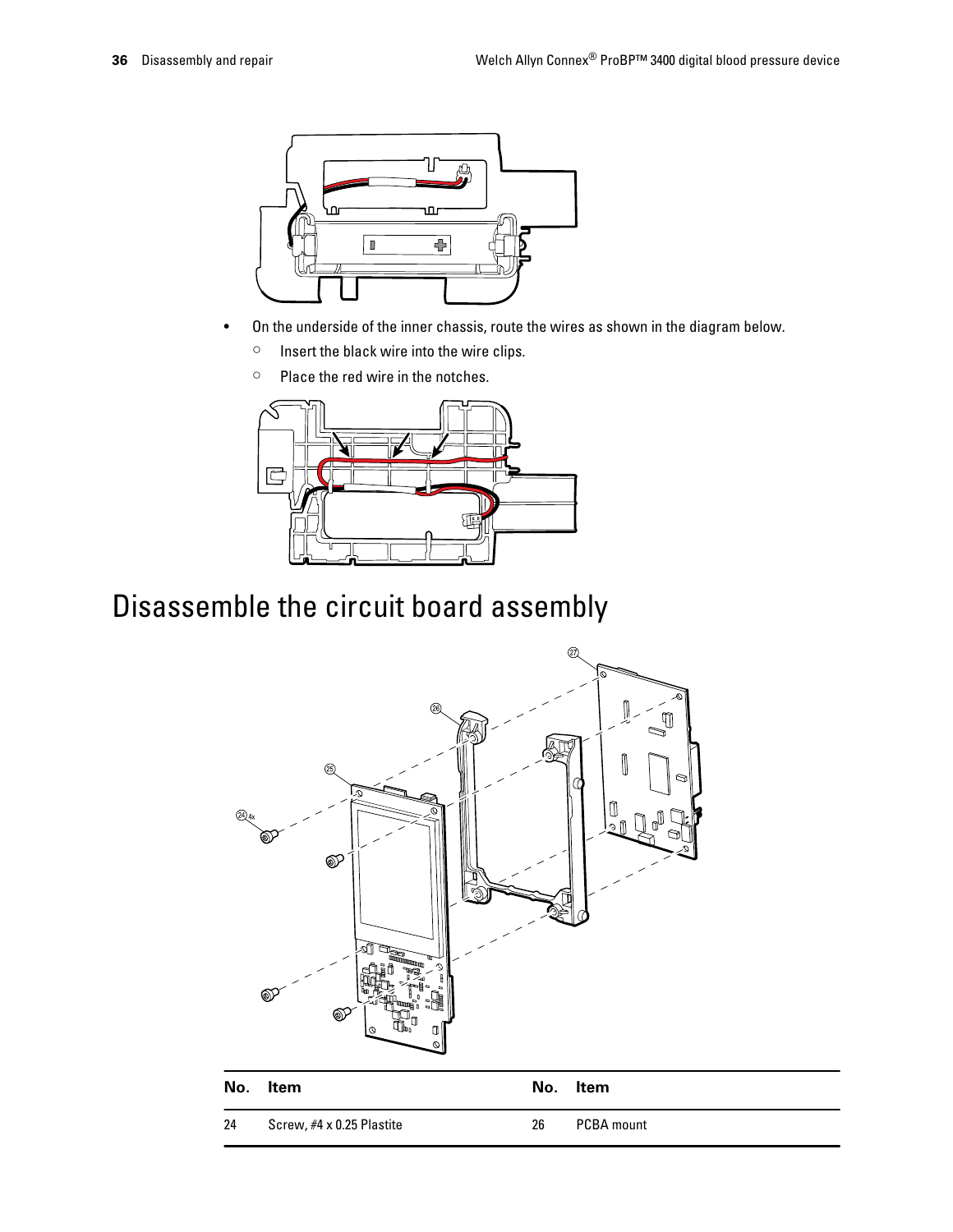

- On the underside of the inner chassis, route the wires as shown in the diagram below.
	- Insert the black wire into the wire clips.
	- Place the red wire in the notches.



# Disassemble the circuit board assembly